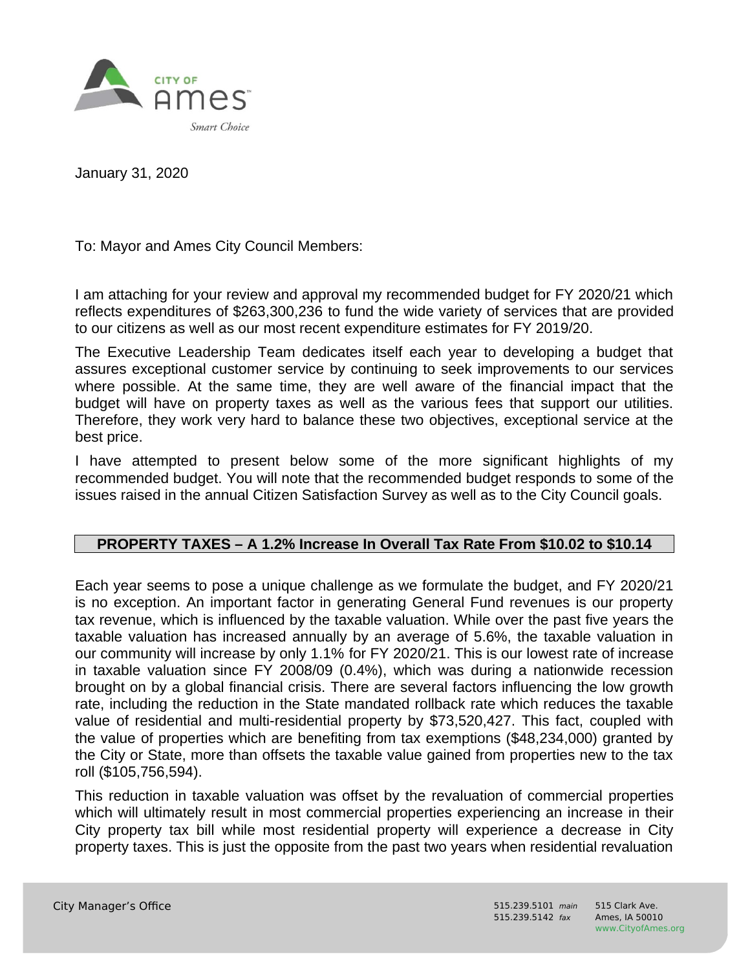

January 31, 2020

To: Mayor and Ames City Council Members:

I am attaching for your review and approval my recommended budget for FY 2020/21 which reflects expenditures of \$263,300,236 to fund the wide variety of services that are provided to our citizens as well as our most recent expenditure estimates for FY 2019/20.

The Executive Leadership Team dedicates itself each year to developing a budget that assures exceptional customer service by continuing to seek improvements to our services where possible. At the same time, they are well aware of the financial impact that the budget will have on property taxes as well as the various fees that support our utilities. Therefore, they work very hard to balance these two objectives, exceptional service at the best price.

I have attempted to present below some of the more significant highlights of my recommended budget. You will note that the recommended budget responds to some of the issues raised in the annual Citizen Satisfaction Survey as well as to the City Council goals.

# **PROPERTY TAXES – A 1.2% Increase In Overall Tax Rate From \$10.02 to \$10.14**

Each year seems to pose a unique challenge as we formulate the budget, and FY 2020/21 is no exception. An important factor in generating General Fund revenues is our property tax revenue, which is influenced by the taxable valuation. While over the past five years the taxable valuation has increased annually by an average of 5.6%, the taxable valuation in our community will increase by only 1.1% for FY 2020/21. This is our lowest rate of increase in taxable valuation since FY 2008/09 (0.4%), which was during a nationwide recession brought on by a global financial crisis. There are several factors influencing the low growth rate, including the reduction in the State mandated rollback rate which reduces the taxable value of residential and multi-residential property by \$73,520,427. This fact, coupled with the value of properties which are benefiting from tax exemptions (\$48,234,000) granted by the City or State, more than offsets the taxable value gained from properties new to the tax roll (\$105,756,594).

This reduction in taxable valuation was offset by the revaluation of commercial properties which will ultimately result in most commercial properties experiencing an increase in their City property tax bill while most residential property will experience a decrease in City property taxes. This is just the opposite from the past two years when residential revaluation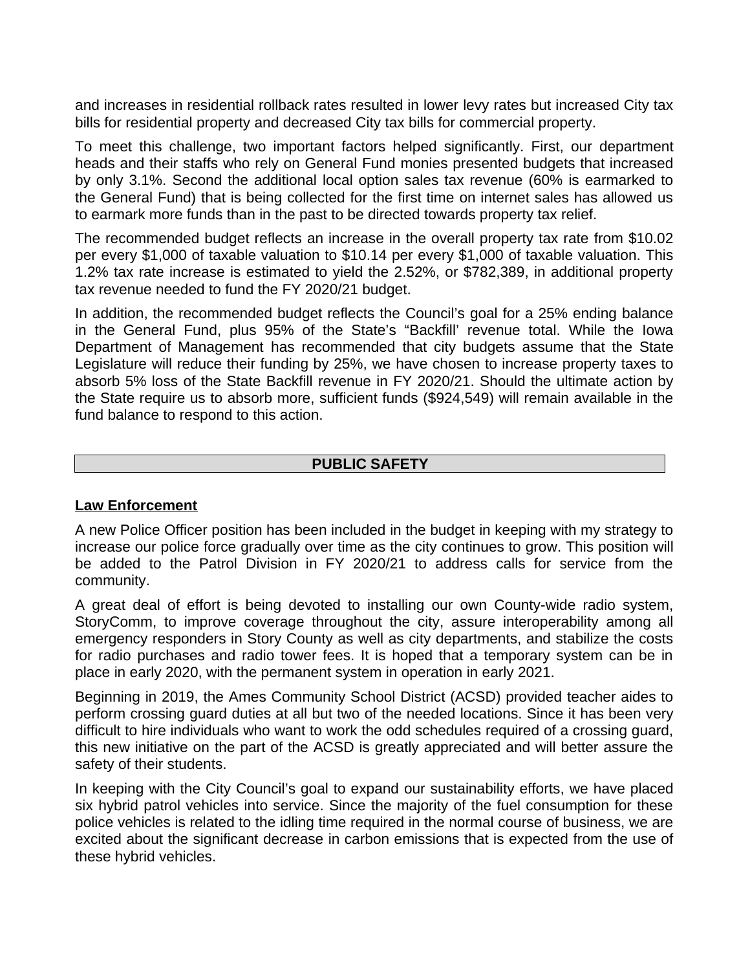and increases in residential rollback rates resulted in lower levy rates but increased City tax bills for residential property and decreased City tax bills for commercial property.

To meet this challenge, two important factors helped significantly. First, our department heads and their staffs who rely on General Fund monies presented budgets that increased by only 3.1%. Second the additional local option sales tax revenue (60% is earmarked to the General Fund) that is being collected for the first time on internet sales has allowed us to earmark more funds than in the past to be directed towards property tax relief.

The recommended budget reflects an increase in the overall property tax rate from \$10.02 per every \$1,000 of taxable valuation to \$10.14 per every \$1,000 of taxable valuation. This 1.2% tax rate increase is estimated to yield the 2.52%, or \$782,389, in additional property tax revenue needed to fund the FY 2020/21 budget.

In addition, the recommended budget reflects the Council's goal for a 25% ending balance in the General Fund, plus 95% of the State's "Backfill' revenue total. While the Iowa Department of Management has recommended that city budgets assume that the State Legislature will reduce their funding by 25%, we have chosen to increase property taxes to absorb 5% loss of the State Backfill revenue in FY 2020/21. Should the ultimate action by the State require us to absorb more, sufficient funds (\$924,549) will remain available in the fund balance to respond to this action.

### **PUBLIC SAFETY**

#### **Law Enforcement**

A new Police Officer position has been included in the budget in keeping with my strategy to increase our police force gradually over time as the city continues to grow. This position will be added to the Patrol Division in FY 2020/21 to address calls for service from the community.

A great deal of effort is being devoted to installing our own County-wide radio system, StoryComm, to improve coverage throughout the city, assure interoperability among all emergency responders in Story County as well as city departments, and stabilize the costs for radio purchases and radio tower fees. It is hoped that a temporary system can be in place in early 2020, with the permanent system in operation in early 2021.

Beginning in 2019, the Ames Community School District (ACSD) provided teacher aides to perform crossing guard duties at all but two of the needed locations. Since it has been very difficult to hire individuals who want to work the odd schedules required of a crossing guard, this new initiative on the part of the ACSD is greatly appreciated and will better assure the safety of their students.

In keeping with the City Council's goal to expand our sustainability efforts, we have placed six hybrid patrol vehicles into service. Since the majority of the fuel consumption for these police vehicles is related to the idling time required in the normal course of business, we are excited about the significant decrease in carbon emissions that is expected from the use of these hybrid vehicles.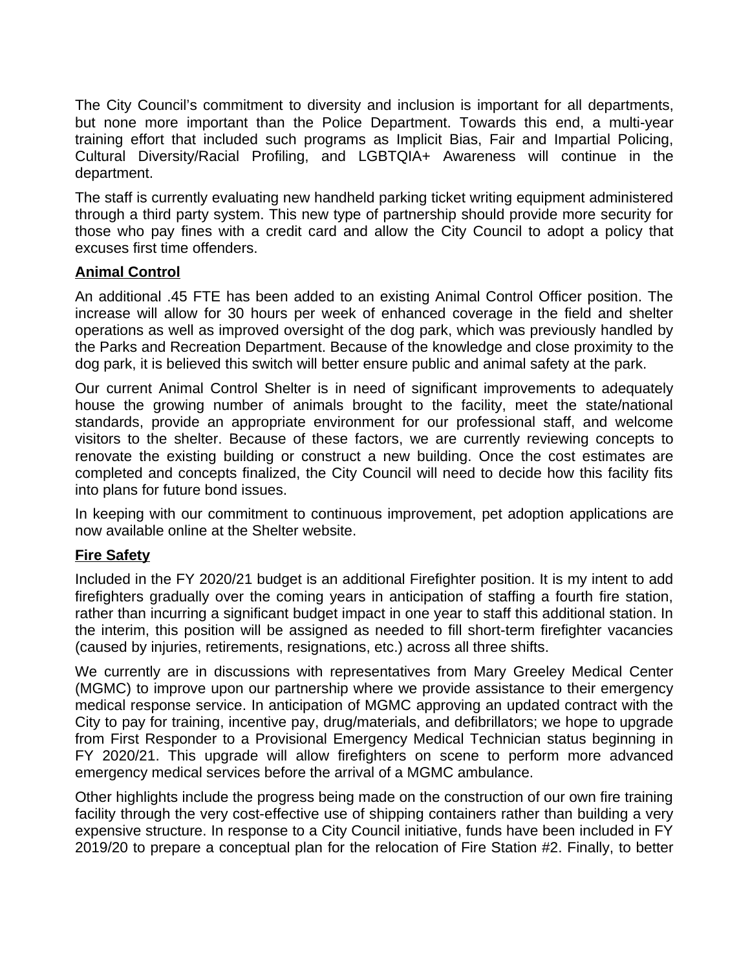The City Council's commitment to diversity and inclusion is important for all departments, but none more important than the Police Department. Towards this end, a multi-year training effort that included such programs as Implicit Bias, Fair and Impartial Policing, Cultural Diversity/Racial Profiling, and LGBTQIA+ Awareness will continue in the department.

The staff is currently evaluating new handheld parking ticket writing equipment administered through a third party system. This new type of partnership should provide more security for those who pay fines with a credit card and allow the City Council to adopt a policy that excuses first time offenders.

# **Animal Control**

An additional .45 FTE has been added to an existing Animal Control Officer position. The increase will allow for 30 hours per week of enhanced coverage in the field and shelter operations as well as improved oversight of the dog park, which was previously handled by the Parks and Recreation Department. Because of the knowledge and close proximity to the dog park, it is believed this switch will better ensure public and animal safety at the park.

Our current Animal Control Shelter is in need of significant improvements to adequately house the growing number of animals brought to the facility, meet the state/national standards, provide an appropriate environment for our professional staff, and welcome visitors to the shelter. Because of these factors, we are currently reviewing concepts to renovate the existing building or construct a new building. Once the cost estimates are completed and concepts finalized, the City Council will need to decide how this facility fits into plans for future bond issues.

In keeping with our commitment to continuous improvement, pet adoption applications are now available online at the Shelter website.

# **Fire Safety**

Included in the FY 2020/21 budget is an additional Firefighter position. It is my intent to add firefighters gradually over the coming years in anticipation of staffing a fourth fire station, rather than incurring a significant budget impact in one year to staff this additional station. In the interim, this position will be assigned as needed to fill short-term firefighter vacancies (caused by injuries, retirements, resignations, etc.) across all three shifts.

We currently are in discussions with representatives from Mary Greeley Medical Center (MGMC) to improve upon our partnership where we provide assistance to their emergency medical response service. In anticipation of MGMC approving an updated contract with the City to pay for training, incentive pay, drug/materials, and defibrillators; we hope to upgrade from First Responder to a Provisional Emergency Medical Technician status beginning in FY 2020/21. This upgrade will allow firefighters on scene to perform more advanced emergency medical services before the arrival of a MGMC ambulance.

Other highlights include the progress being made on the construction of our own fire training facility through the very cost-effective use of shipping containers rather than building a very expensive structure. In response to a City Council initiative, funds have been included in FY 2019/20 to prepare a conceptual plan for the relocation of Fire Station #2. Finally, to better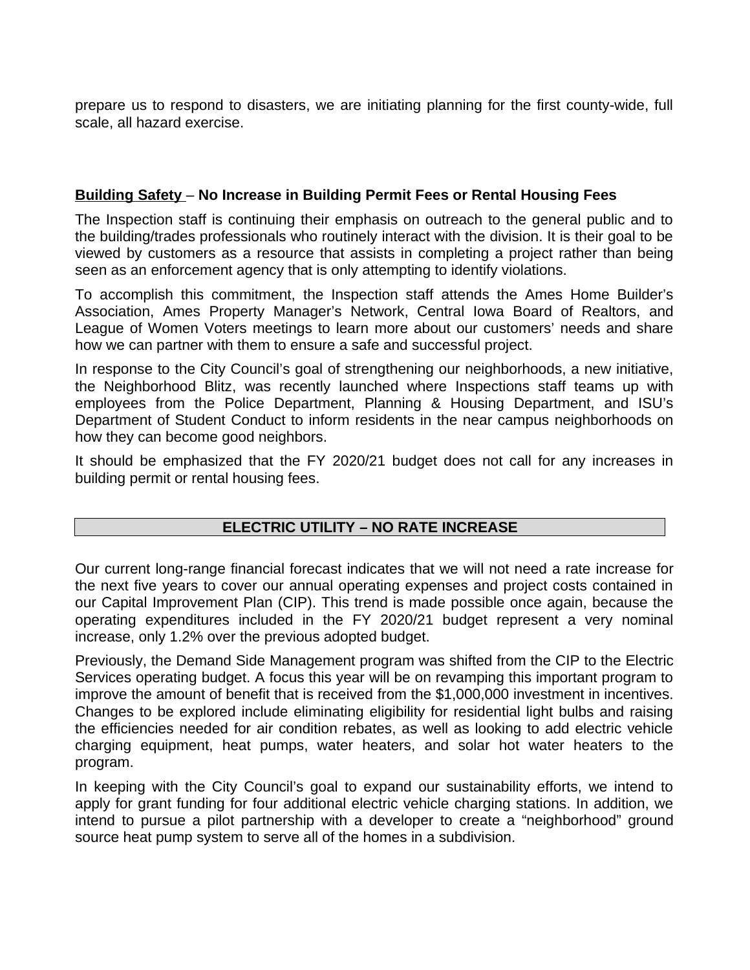prepare us to respond to disasters, we are initiating planning for the first county-wide, full scale, all hazard exercise.

# **Building Safety** – **No Increase in Building Permit Fees or Rental Housing Fees**

The Inspection staff is continuing their emphasis on outreach to the general public and to the building/trades professionals who routinely interact with the division. It is their goal to be viewed by customers as a resource that assists in completing a project rather than being seen as an enforcement agency that is only attempting to identify violations.

To accomplish this commitment, the Inspection staff attends the Ames Home Builder's Association, Ames Property Manager's Network, Central Iowa Board of Realtors, and League of Women Voters meetings to learn more about our customers' needs and share how we can partner with them to ensure a safe and successful project.

In response to the City Council's goal of strengthening our neighborhoods, a new initiative, the Neighborhood Blitz, was recently launched where Inspections staff teams up with employees from the Police Department, Planning & Housing Department, and ISU's Department of Student Conduct to inform residents in the near campus neighborhoods on how they can become good neighbors.

It should be emphasized that the FY 2020/21 budget does not call for any increases in building permit or rental housing fees.

# **ELECTRIC UTILITY – NO RATE INCREASE**

Our current long-range financial forecast indicates that we will not need a rate increase for the next five years to cover our annual operating expenses and project costs contained in our Capital Improvement Plan (CIP). This trend is made possible once again, because the operating expenditures included in the FY 2020/21 budget represent a very nominal increase, only 1.2% over the previous adopted budget.

Previously, the Demand Side Management program was shifted from the CIP to the Electric Services operating budget. A focus this year will be on revamping this important program to improve the amount of benefit that is received from the \$1,000,000 investment in incentives. Changes to be explored include eliminating eligibility for residential light bulbs and raising the efficiencies needed for air condition rebates, as well as looking to add electric vehicle charging equipment, heat pumps, water heaters, and solar hot water heaters to the program.

In keeping with the City Council's goal to expand our sustainability efforts, we intend to apply for grant funding for four additional electric vehicle charging stations. In addition, we intend to pursue a pilot partnership with a developer to create a "neighborhood" ground source heat pump system to serve all of the homes in a subdivision.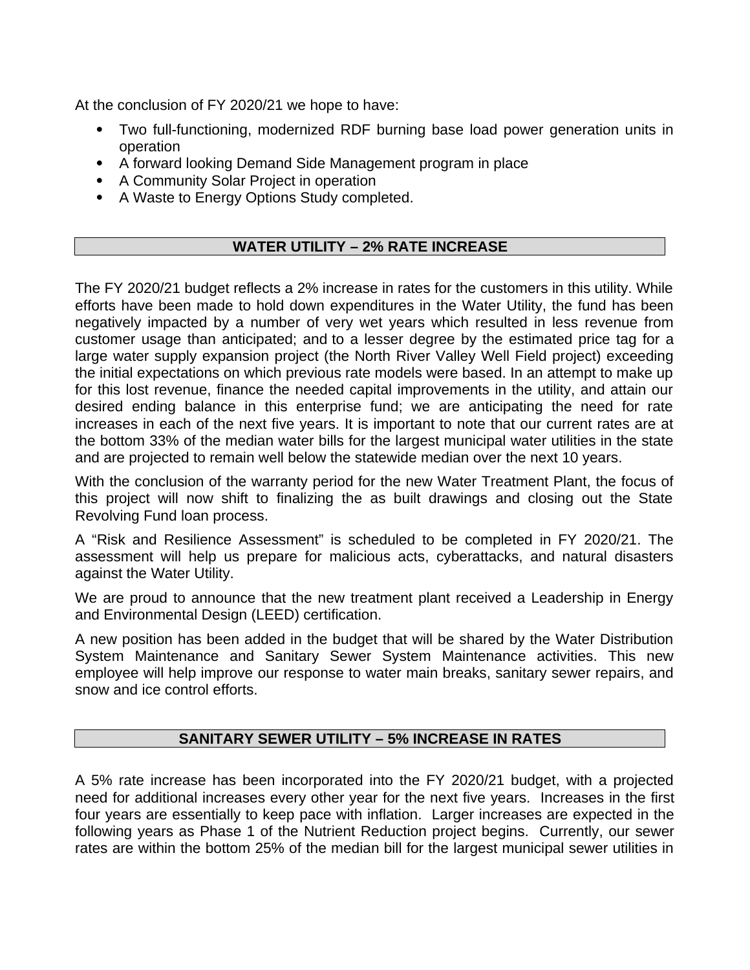At the conclusion of FY 2020/21 we hope to have:

- Two full-functioning, modernized RDF burning base load power generation units in operation
- A forward looking Demand Side Management program in place
- A Community Solar Project in operation
- A Waste to Energy Options Study completed.

# **WATER UTILITY – 2% RATE INCREASE**

The FY 2020/21 budget reflects a 2% increase in rates for the customers in this utility. While efforts have been made to hold down expenditures in the Water Utility, the fund has been negatively impacted by a number of very wet years which resulted in less revenue from customer usage than anticipated; and to a lesser degree by the estimated price tag for a large water supply expansion project (the North River Valley Well Field project) exceeding the initial expectations on which previous rate models were based. In an attempt to make up for this lost revenue, finance the needed capital improvements in the utility, and attain our desired ending balance in this enterprise fund; we are anticipating the need for rate increases in each of the next five years. It is important to note that our current rates are at the bottom 33% of the median water bills for the largest municipal water utilities in the state and are projected to remain well below the statewide median over the next 10 years.

With the conclusion of the warranty period for the new Water Treatment Plant, the focus of this project will now shift to finalizing the as built drawings and closing out the State Revolving Fund loan process.

A "Risk and Resilience Assessment" is scheduled to be completed in FY 2020/21. The assessment will help us prepare for malicious acts, cyberattacks, and natural disasters against the Water Utility.

We are proud to announce that the new treatment plant received a Leadership in Energy and Environmental Design (LEED) certification.

A new position has been added in the budget that will be shared by the Water Distribution System Maintenance and Sanitary Sewer System Maintenance activities. This new employee will help improve our response to water main breaks, sanitary sewer repairs, and snow and ice control efforts.

# **SANITARY SEWER UTILITY – 5% INCREASE IN RATES**

A 5% rate increase has been incorporated into the FY 2020/21 budget, with a projected need for additional increases every other year for the next five years. Increases in the first four years are essentially to keep pace with inflation. Larger increases are expected in the following years as Phase 1 of the Nutrient Reduction project begins. Currently, our sewer rates are within the bottom 25% of the median bill for the largest municipal sewer utilities in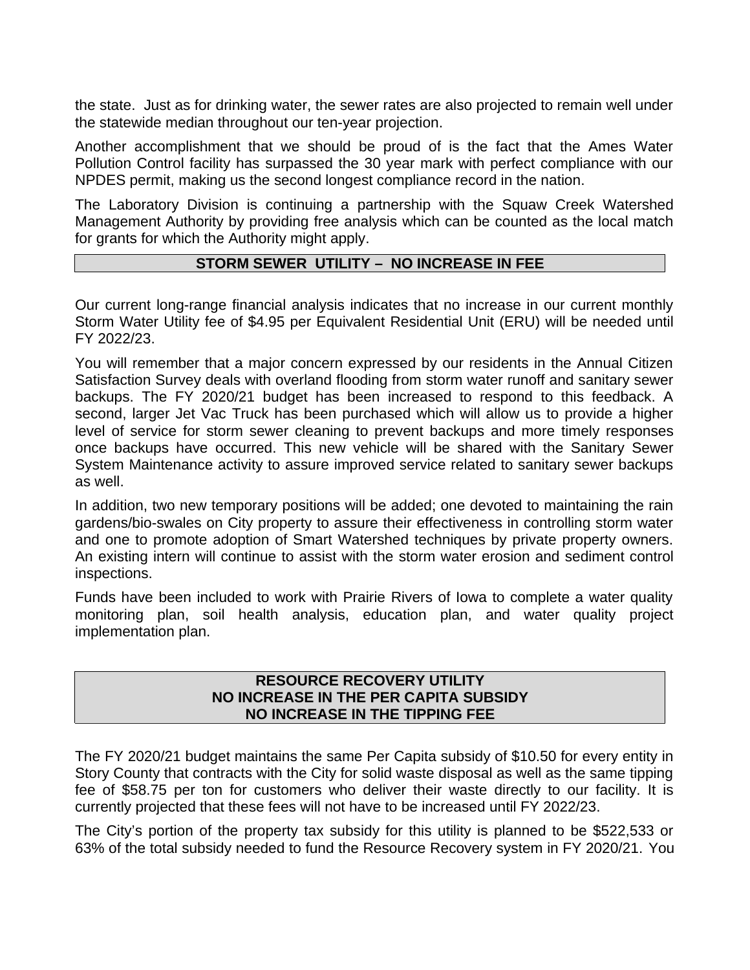the state. Just as for drinking water, the sewer rates are also projected to remain well under the statewide median throughout our ten-year projection.

Another accomplishment that we should be proud of is the fact that the Ames Water Pollution Control facility has surpassed the 30 year mark with perfect compliance with our NPDES permit, making us the second longest compliance record in the nation.

The Laboratory Division is continuing a partnership with the Squaw Creek Watershed Management Authority by providing free analysis which can be counted as the local match for grants for which the Authority might apply.

### **STORM SEWER UTILITY – NO INCREASE IN FEE**

Our current long-range financial analysis indicates that no increase in our current monthly Storm Water Utility fee of \$4.95 per Equivalent Residential Unit (ERU) will be needed until FY 2022/23.

You will remember that a major concern expressed by our residents in the Annual Citizen Satisfaction Survey deals with overland flooding from storm water runoff and sanitary sewer backups. The FY 2020/21 budget has been increased to respond to this feedback. A second, larger Jet Vac Truck has been purchased which will allow us to provide a higher level of service for storm sewer cleaning to prevent backups and more timely responses once backups have occurred. This new vehicle will be shared with the Sanitary Sewer System Maintenance activity to assure improved service related to sanitary sewer backups as well.

In addition, two new temporary positions will be added; one devoted to maintaining the rain gardens/bio-swales on City property to assure their effectiveness in controlling storm water and one to promote adoption of Smart Watershed techniques by private property owners. An existing intern will continue to assist with the storm water erosion and sediment control inspections.

Funds have been included to work with Prairie Rivers of Iowa to complete a water quality monitoring plan, soil health analysis, education plan, and water quality project implementation plan.

### **RESOURCE RECOVERY UTILITY NO INCREASE IN THE PER CAPITA SUBSIDY NO INCREASE IN THE TIPPING FEE**

The FY 2020/21 budget maintains the same Per Capita subsidy of \$10.50 for every entity in Story County that contracts with the City for solid waste disposal as well as the same tipping fee of \$58.75 per ton for customers who deliver their waste directly to our facility. It is currently projected that these fees will not have to be increased until FY 2022/23.

The City's portion of the property tax subsidy for this utility is planned to be \$522,533 or 63% of the total subsidy needed to fund the Resource Recovery system in FY 2020/21. You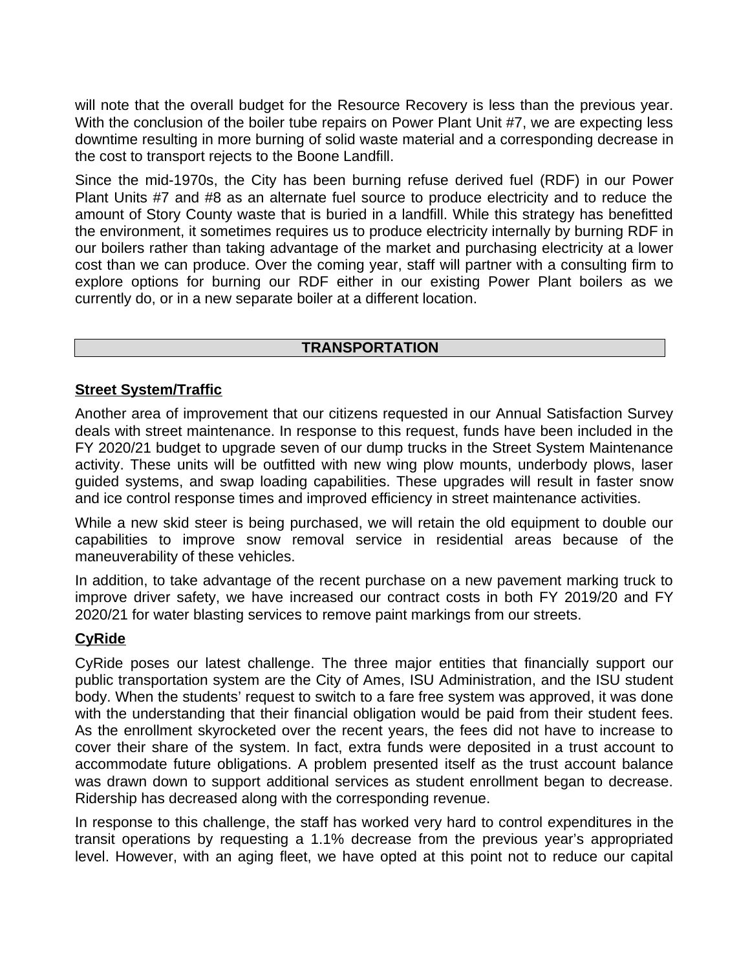will note that the overall budget for the Resource Recovery is less than the previous year. With the conclusion of the boiler tube repairs on Power Plant Unit #7, we are expecting less downtime resulting in more burning of solid waste material and a corresponding decrease in the cost to transport rejects to the Boone Landfill.

Since the mid-1970s, the City has been burning refuse derived fuel (RDF) in our Power Plant Units #7 and #8 as an alternate fuel source to produce electricity and to reduce the amount of Story County waste that is buried in a landfill. While this strategy has benefitted the environment, it sometimes requires us to produce electricity internally by burning RDF in our boilers rather than taking advantage of the market and purchasing electricity at a lower cost than we can produce. Over the coming year, staff will partner with a consulting firm to explore options for burning our RDF either in our existing Power Plant boilers as we currently do, or in a new separate boiler at a different location.

### **TRANSPORTATION**

### **Street System/Traffic**

Another area of improvement that our citizens requested in our Annual Satisfaction Survey deals with street maintenance. In response to this request, funds have been included in the FY 2020/21 budget to upgrade seven of our dump trucks in the Street System Maintenance activity. These units will be outfitted with new wing plow mounts, underbody plows, laser guided systems, and swap loading capabilities. These upgrades will result in faster snow and ice control response times and improved efficiency in street maintenance activities.

While a new skid steer is being purchased, we will retain the old equipment to double our capabilities to improve snow removal service in residential areas because of the maneuverability of these vehicles.

In addition, to take advantage of the recent purchase on a new pavement marking truck to improve driver safety, we have increased our contract costs in both FY 2019/20 and FY 2020/21 for water blasting services to remove paint markings from our streets.

#### **CyRide**

CyRide poses our latest challenge. The three major entities that financially support our public transportation system are the City of Ames, ISU Administration, and the ISU student body. When the students' request to switch to a fare free system was approved, it was done with the understanding that their financial obligation would be paid from their student fees. As the enrollment skyrocketed over the recent years, the fees did not have to increase to cover their share of the system. In fact, extra funds were deposited in a trust account to accommodate future obligations. A problem presented itself as the trust account balance was drawn down to support additional services as student enrollment began to decrease. Ridership has decreased along with the corresponding revenue.

In response to this challenge, the staff has worked very hard to control expenditures in the transit operations by requesting a 1.1% decrease from the previous year's appropriated level. However, with an aging fleet, we have opted at this point not to reduce our capital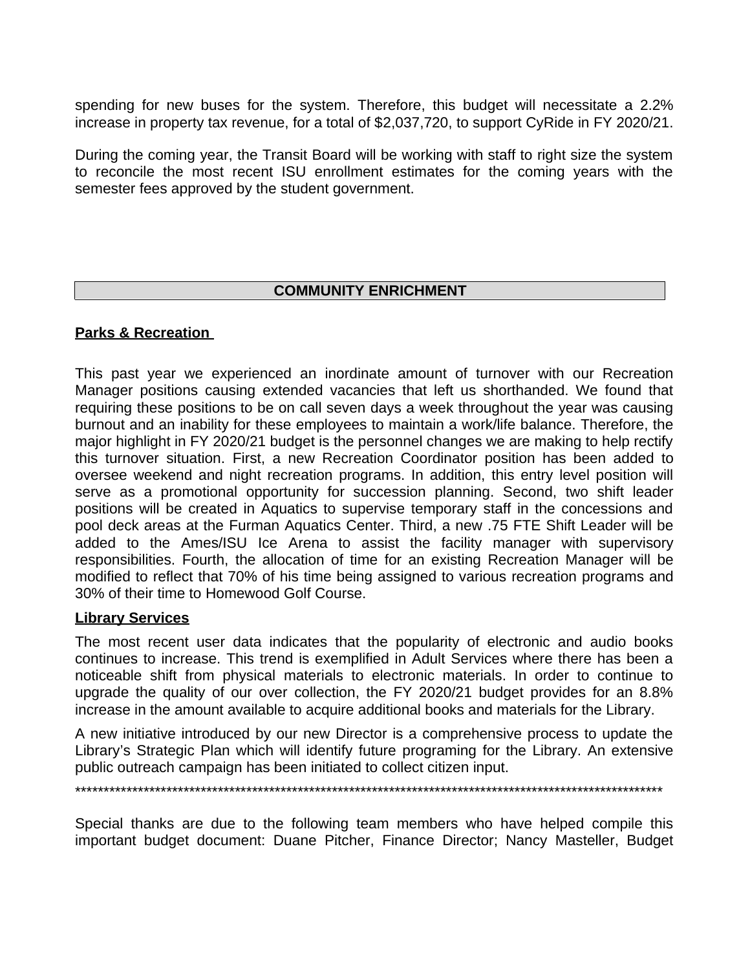spending for new buses for the system. Therefore, this budget will necessitate a 2.2% increase in property tax revenue, for a total of \$2,037,720, to support CyRide in FY 2020/21.

During the coming year, the Transit Board will be working with staff to right size the system to reconcile the most recent ISU enrollment estimates for the coming years with the semester fees approved by the student government.

# **COMMUNITY ENRICHMENT**

# **Parks & Recreation**

This past year we experienced an inordinate amount of turnover with our Recreation Manager positions causing extended vacancies that left us shorthanded. We found that requiring these positions to be on call seven days a week throughout the year was causing burnout and an inability for these employees to maintain a work/life balance. Therefore, the major highlight in FY 2020/21 budget is the personnel changes we are making to help rectify this turnover situation. First, a new Recreation Coordinator position has been added to oversee weekend and night recreation programs. In addition, this entry level position will serve as a promotional opportunity for succession planning. Second, two shift leader positions will be created in Aquatics to supervise temporary staff in the concessions and pool deck areas at the Furman Aquatics Center. Third, a new .75 FTE Shift Leader will be added to the Ames/ISU Ice Arena to assist the facility manager with supervisory responsibilities. Fourth, the allocation of time for an existing Recreation Manager will be modified to reflect that 70% of his time being assigned to various recreation programs and 30% of their time to Homewood Golf Course.

#### **Library Services**

The most recent user data indicates that the popularity of electronic and audio books continues to increase. This trend is exemplified in Adult Services where there has been a noticeable shift from physical materials to electronic materials. In order to continue to upgrade the quality of our over collection, the FY 2020/21 budget provides for an 8.8% increase in the amount available to acquire additional books and materials for the Library.

A new initiative introduced by our new Director is a comprehensive process to update the Library's Strategic Plan which will identify future programing for the Library. An extensive public outreach campaign has been initiated to collect citizen input.

\*\*\*\*\*\*\*\*\*\*\*\*\*\*\*\*\*\*\*\*\*\*\*\*\*\*\*\*\*\*\*\*\*\*\*\*\*\*\*\*\*\*\*\*\*\*\*\*\*\*\*\*\*\*\*\*\*\*\*\*\*\*\*\*\*\*\*\*\*\*\*\*\*\*\*\*\*\*\*\*\*\*\*\*\*\*\*\*\*\*\*\*\*\*\*\*\*\*\*\*\*\*\*

Special thanks are due to the following team members who have helped compile this important budget document: Duane Pitcher, Finance Director; Nancy Masteller, Budget